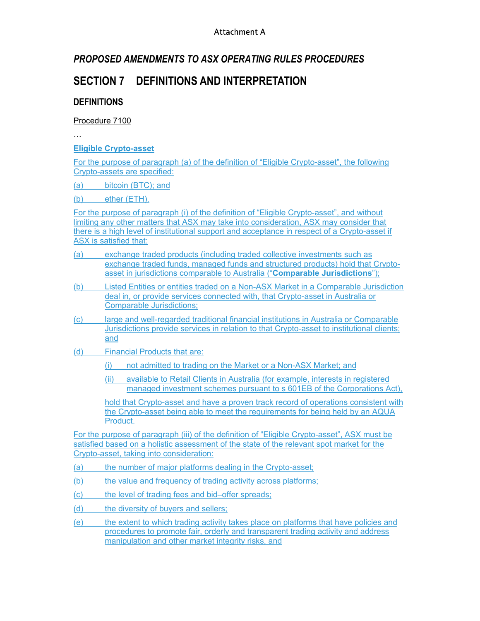#### Attachment A

## *PROPOSED AMENDMENTS TO ASX OPERATING RULES PROCEDURES*

# **SECTION 7 DEFINITIONS AND INTERPRETATION**

## **DEFINITIONS**

#### Procedure 7100

…

**Eligible Crypto-asset** 

For the purpose of paragraph (a) of the definition of "Eligible Crypto-asset", the following Crypto-assets are specified:

(a) bitcoin (BTC); and

(b) ether (ETH).

For the purpose of paragraph (i) of the definition of "Eligible Crypto-asset", and without limiting any other matters that ASX may take into consideration, ASX may consider that there is a high level of institutional support and acceptance in respect of a Crypto-asset if ASX is satisfied that:

- (a) exchange traded products (including traded collective investments such as exchange traded funds, managed funds and structured products) hold that Cryptoasset in jurisdictions comparable to Australia ("**Comparable Jurisdictions**");
- (b) Listed Entities or entities traded on a Non-ASX Market in a Comparable Jurisdiction deal in, or provide services connected with, that Crypto-asset in Australia or Comparable Jurisdictions;
- (c) large and well-regarded traditional financial institutions in Australia or Comparable Jurisdictions provide services in relation to that Crypto-asset to institutional clients; and
- (d) Financial Products that are:
	- (i) not admitted to trading on the Market or a Non-ASX Market; and
	- (ii) available to Retail Clients in Australia (for example, interests in registered managed investment schemes pursuant to s 601EB of the Corporations Act),

hold that Crypto-asset and have a proven track record of operations consistent with the Crypto-asset being able to meet the requirements for being held by an AQUA Product.

For the purpose of paragraph (iii) of the definition of "Eligible Crypto-asset", ASX must be satisfied based on a holistic assessment of the state of the relevant spot market for the Crypto-asset, taking into consideration:

(a) the number of major platforms dealing in the Crypto-asset;

(b) the value and frequency of trading activity across platforms;

(c) the level of trading fees and bid–offer spreads;

- (d) the diversity of buyers and sellers;
- (e) the extent to which trading activity takes place on platforms that have policies and procedures to promote fair, orderly and transparent trading activity and address manipulation and other market integrity risks, and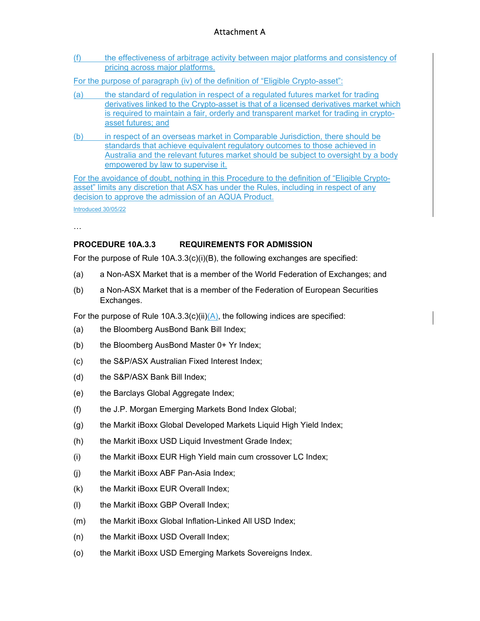## Attachment A

(f) the effectiveness of arbitrage activity between major platforms and consistency of pricing across major platforms.

For the purpose of paragraph (iv) of the definition of "Eligible Crypto-asset":

- (a) the standard of regulation in respect of a regulated futures market for trading derivatives linked to the Crypto-asset is that of a licensed derivatives market which is required to maintain a fair, orderly and transparent market for trading in cryptoasset futures; and
- (b) in respect of an overseas market in Comparable Jurisdiction, there should be standards that achieve equivalent regulatory outcomes to those achieved in Australia and the relevant futures market should be subject to oversight by a body empowered by law to supervise it.

For the avoidance of doubt, nothing in this Procedure to the definition of "Eligible Cryptoasset" limits any discretion that ASX has under the Rules, including in respect of any decision to approve the admission of an AQUA Product.

Introduced 30/05/22

…

#### **PROCEDURE 10A.3.3 REQUIREMENTS FOR ADMISSION**

For the purpose of Rule 10A.3.3(c)(i)(B), the following exchanges are specified:

- (a) a Non-ASX Market that is a member of the World Federation of Exchanges; and
- (b) a Non-ASX Market that is a member of the Federation of European Securities Exchanges.

For the purpose of Rule  $10A.3.3(c)(ii)(A)$ , the following indices are specified:

- (a) the Bloomberg AusBond Bank Bill Index;
- (b) the Bloomberg AusBond Master 0+ Yr Index;
- (c) the S&P/ASX Australian Fixed Interest Index;
- (d) the S&P/ASX Bank Bill Index;
- (e) the Barclays Global Aggregate Index;
- (f) the J.P. Morgan Emerging Markets Bond Index Global;
- (g) the Markit iBoxx Global Developed Markets Liquid High Yield Index;
- (h) the Markit iBoxx USD Liquid Investment Grade Index;
- (i) the Markit iBoxx EUR High Yield main cum crossover LC Index;
- (j) the Markit iBoxx ABF Pan-Asia Index;
- (k) the Markit iBoxx EUR Overall Index;
- (l) the Markit iBoxx GBP Overall Index;
- (m) the Markit iBoxx Global Inflation-Linked All USD Index;
- (n) the Markit iBoxx USD Overall Index;
- (o) the Markit iBoxx USD Emerging Markets Sovereigns Index.